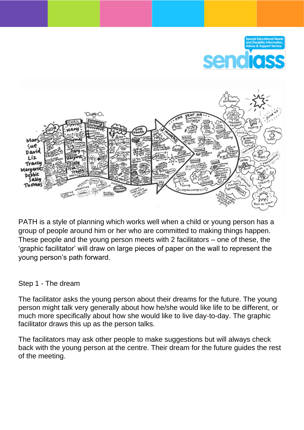

PATH is a style of planning which works well when a child or young person has a group of people around him or her who are committed to making things happen. These people and the young person meets with 2 facilitators – one of these, the 'graphic facilitator' will draw on large pieces of paper on the wall to represent the young person's path forward.

## Step 1 - The dream

The facilitator asks the young person about their dreams for the future. The young person might talk very generally about how he/she would like life to be different, or much more specifically about how she would like to live day-to-day. The graphic facilitator draws this up as the person talks.

The facilitators may ask other people to make suggestions but will always check back with the young person at the centre. Their dream for the future guides the rest of the meeting.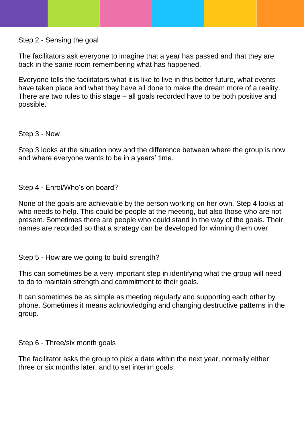Step 2 - Sensing the goal

The facilitators ask everyone to imagine that a year has passed and that they are back in the same room remembering what has happened.

Everyone tells the facilitators what it is like to live in this better future, what events have taken place and what they have all done to make the dream more of a reality. There are two rules to this stage – all goals recorded have to be both positive and possible.

Step 3 - Now

Step 3 looks at the situation now and the difference between where the group is now and where everyone wants to be in a years' time.

Step 4 - Enrol/Who's on board?

None of the goals are achievable by the person working on her own. Step 4 looks at who needs to help. This could be people at the meeting, but also those who are not present. Sometimes there are people who could stand in the way of the goals. Their names are recorded so that a strategy can be developed for winning them over

Step 5 - How are we going to build strength?

This can sometimes be a very important step in identifying what the group will need to do to maintain strength and commitment to their goals.

It can sometimes be as simple as meeting regularly and supporting each other by phone. Sometimes it means acknowledging and changing destructive patterns in the group.

Step 6 - Three/six month goals

The facilitator asks the group to pick a date within the next year, normally either three or six months later, and to set interim goals.